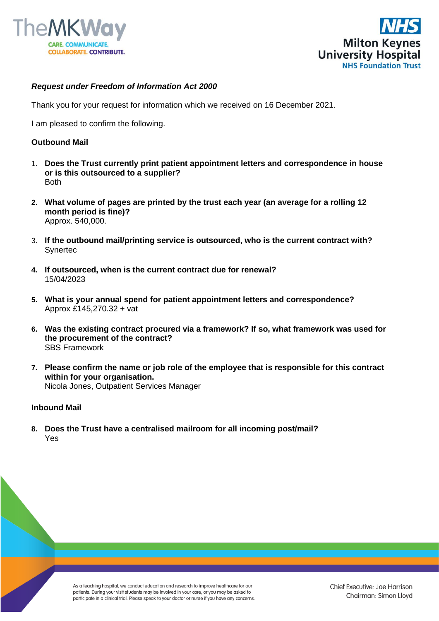



## *Request under Freedom of Information Act 2000*

Thank you for your request for information which we received on 16 December 2021.

I am pleased to confirm the following.

## **Outbound Mail**

- 1. **Does the Trust currently print patient appointment letters and correspondence in house or is this outsourced to a supplier?** Both
- **2. What volume of pages are printed by the trust each year (an average for a rolling 12 month period is fine)?** Approx. 540,000.
- 3. **If the outbound mail/printing service is outsourced, who is the current contract with? Synertec**
- **4. If outsourced, when is the current contract due for renewal?** 15/04/2023
- **5. What is your annual spend for patient appointment letters and correspondence?** Approx £145,270.32 + vat
- **6. Was the existing contract procured via a framework? If so, what framework was used for the procurement of the contract?** SBS Framework
- **7. Please confirm the name or job role of the employee that is responsible for this contract within for your organisation.** Nicola Jones, Outpatient Services Manager

## **Inbound Mail**

**8. Does the Trust have a centralised mailroom for all incoming post/mail?** Yes

> As a teaching hospital, we conduct education and research to improve healthcare for our patients. During your visit students may be involved in your care, or you may be asked to participate in a clinical trial. Please speak to your doctor or nurse if you have any concerns.